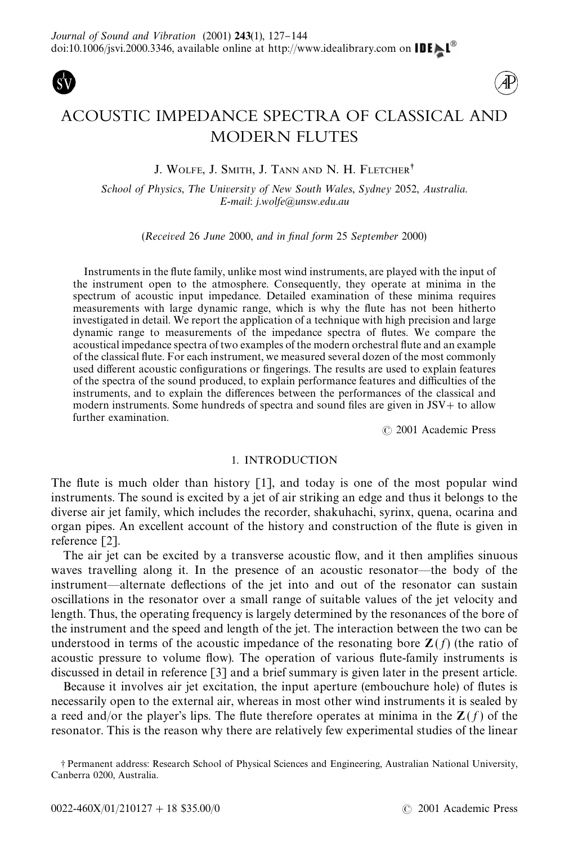



# ACOUSTIC IMPEDANCE SPECTRA OF CLASSICAL AND MODERN FLUTES

# J. WOLFE, J. SMITH, J. TANN AND N. H. FLETCHER<sup>†</sup>

*School of Physics, The University of New South Wales, Sydney 2052, Australia. E*-*mail*: *j*.*wolfe*@*unsw*.*edu*.*au*

(*Received* 26 *June* 2000, *and in* ,*nal form* 25 *September* 2000)

Instruments in the flute family, unlike most wind instruments, are played with the input of the instrument open to the atmosphere. Consequently, they operate at minima in the spectrum of acoustic input impedance. Detailed examination of these minima requires measurements with large dynamic range, which is why the #ute has not been hitherto investigated in detail. We report the application of a technique with high precision and large dynamic range to measurements of the impedance spectra of #utes. We compare the acoustical impedance spectra of two examples of the modern orchestral flute and an example of the classical #ute. For each instrument, we measured several dozen of the most commonly used different acoustic configurations or fingerings. The results are used to explain features of the spectra of the sound produced, to explain performance features and difficulties of the instruments, and to explain the differences between the performances of the classical and modern instruments. Some hundreds of spectra and sound files are given in  $JSV+$  to allow further examination.

( 2001 Academic Press

## 1. INTRODUCTION

The flute is much older than history  $[1]$ , and today is one of the most popular wind instruments. The sound is excited by a jet of air striking an edge and thus it belongs to the diverse air jet family, which includes the recorder, shakuhachi, syrinx, quena, ocarina and organ pipes. An excellent account of the history and construction of the flute is given in reference [\[2\].](#page-17-0)

The air jet can be excited by a transverse acoustic flow, and it then amplifies sinuous waves travelling along it. In the presence of an acoustic resonator—the body of the instrument—alternate deflections of the jet into and out of the resonator can sustain oscillations in the resonator over a small range of suitable values of the jet velocity and length. Thus, the operating frequency is largely determined by the resonances of the bore of the instrument and the speed and length of the jet. The interaction between the two can be understood in terms of the acoustic impedance of the resonating bore  $\mathbf{Z}(f)$  (the ratio of acoustic pressure to volume flow). The operation of various flute-family instruments is discussed in detail in reference [\[3\]](#page-17-0) and a brief summary is given later in the present article.

Because it involves air jet excitation, the input aperture (embouchure hole) of flutes is necessarily open to the external air, whereas in most other wind instruments it is sealed by a reed and/or the player's lips. The flute therefore operates at minima in the  $\mathbf{Z}(f)$  of the resonator. This is the reason why there are relatively few experimental studies of the linear

-Permanent address: Research School of Physical Sciences and Engineering, Australian National University, Canberra 0200, Australia.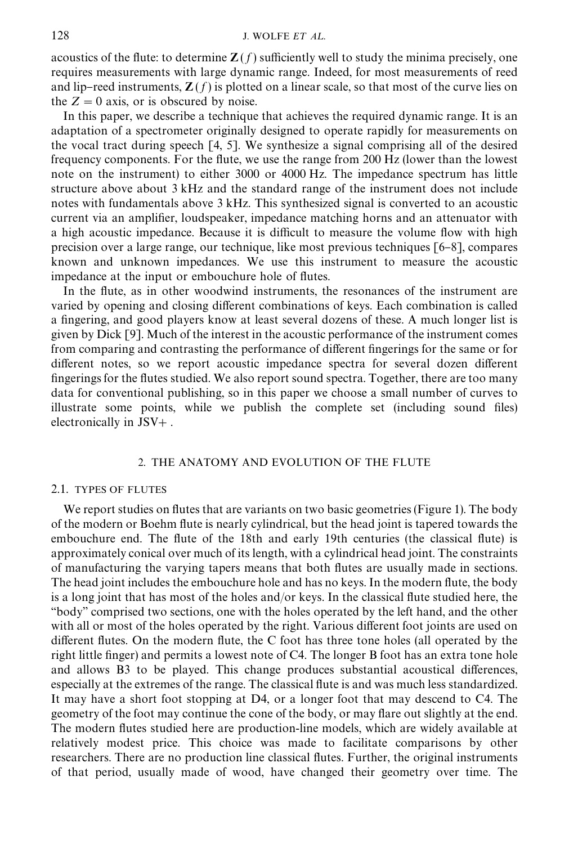## 128 **J. WOLFE** *ET AL***.**

acoustics of the flute: to determine  $\mathbf{Z}(f)$  sufficiently well to study the minima precisely, one requires measurements with large dynamic range. Indeed, for most measurements of reed and lip–reed instruments,  $\mathbf{Z}(f)$  is plotted on a linear scale, so that most of the curve lies on the  $Z = 0$  axis, or is obscured by noise.

In this paper, we describe a technique that achieves the required dynamic range. It is an adaptation of a spectrometer originally designed to operate rapidly for measurements on the vocal tract during speech [\[4, 5\]](#page-17-0). We synthesize a signal comprising all of the desired frequency components. For the flute, we use the range from 200 Hz (lower than the lowest note on the instrument) to either 3000 or 4000 Hz. The impedance spectrum has little structure above about 3 kHz and the standard range of the instrument does not include notes with fundamentals above 3 kHz. This synthesized signal is converted to an acoustic current via an amplifier, loudspeaker, impedance matching horns and an attenuator with a high acoustic impedance. Because it is difficult to measure the volume flow with high precision over a large range, our technique, like most previous techniques  $[6-8]$ , compares known and unknown impedances. We use this instrument to measure the acoustic impedance at the input or embouchure hole of flutes.

In the flute, as in other woodwind instruments, the resonances of the instrument are varied by opening and closing different combinations of keys. Each combination is called a fingering, and good players know at least several dozens of these. A much longer list is given by Dick [\[9\]](#page-17-0). Much of the interest in the acoustic performance of the instrument comes from comparing and contrasting the performance of different fingerings for the same or for different notes, so we report acoustic impedance spectra for several dozen different fingerings for the flutes studied. We also report sound spectra. Together, there are too many data for conventional publishing, so in this paper we choose a small number of curves to illustrate some points, while we publish the complete set (including sound files) electronically in  $JSV+$ .

## 2. THE ANATOMY AND EVOLUTION OF THE FLUTE

### 2.1. TYPES OF FLUTES

We report studies on flutes that are variants on two basic geometries [\(Figure 1\)](#page-2-0). The body of the modern or Boehm #ute is nearly cylindrical, but the head joint is tapered towards the embouchure end. The flute of the 18th and early 19th centuries (the classical flute) is approximately conical over much of its length, with a cylindrical head joint. The constraints of manufacturing the varying tapers means that both #utes are usually made in sections. The head joint includes the embouchure hole and has no keys. In the modern flute, the body is a long joint that has most of the holes and/or keys. In the classical flute studied here, the "body" comprised two sections, one with the holes operated by the left hand, and the other with all or most of the holes operated by the right. Various different foot joints are used on different flutes. On the modern flute, the C foot has three tone holes (all operated by the right little finger) and permits a lowest note of  $C<sub>4</sub>$ . The longer B foot has an extra tone hole and allows B3 to be played. This change produces substantial acoustical differences, especially at the extremes of the range. The classical flute is and was much less standardized. It may have a short foot stopping at D4, or a longer foot that may descend to C4. The geometry of the foot may continue the cone of the body, or may #are out slightly at the end. The modern flutes studied here are production-line models, which are widely available at relatively modest price. This choice was made to facilitate comparisons by other researchers. There are no production line classical flutes. Further, the original instruments of that period, usually made of wood, have changed their geometry over time. The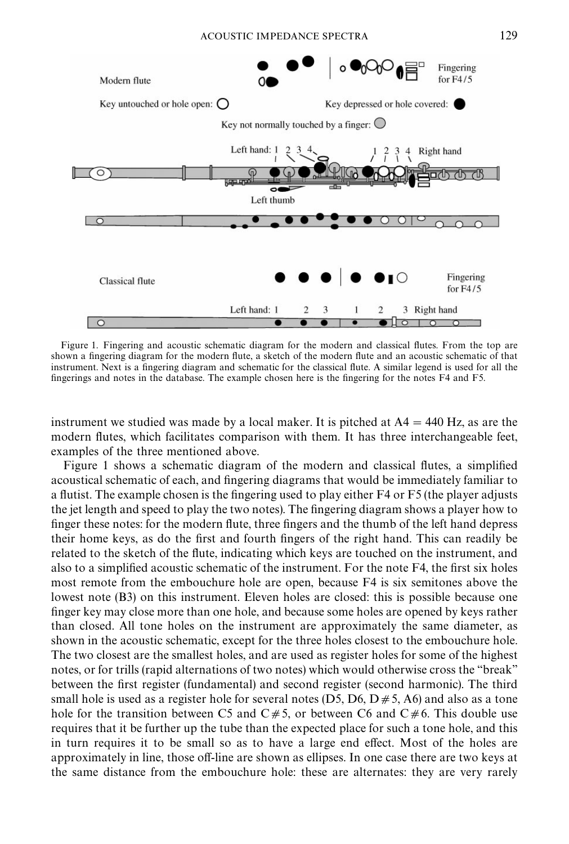<span id="page-2-0"></span>

Figure 1. Fingering and acoustic schematic diagram for the modern and classical flutes. From the top are shown a fingering diagram for the modern flute, a sketch of the modern flute and an acoustic schematic of that instrument. Next is a fingering diagram and schematic for the classical flute. A similar legend is used for all the fingerings and notes in the database. The example chosen here is the fingering for the notes F4 and F5.

instrument we studied was made by a local maker. It is pitched at  $A4 = 440$  Hz, as are the modern flutes, which facilitates comparison with them. It has three interchangeable feet, examples of the three mentioned above.

Figure 1 shows a schematic diagram of the modern and classical flutes, a simplified acoustical schematic of each, and fingering diagrams that would be immediately familiar to a flutist. The example chosen is the fingering used to play either F4 or F5 (the player adjusts the jet length and speed to play the two notes). The fingering diagram shows a player how to finger these notes: for the modern flute, three fingers and the thumb of the left hand depress their home keys, as do the first and fourth fingers of the right hand. This can readily be related to the sketch of the flute, indicating which keys are touched on the instrument, and also to a simplified acoustic schematic of the instrument. For the note F4, the first six holes most remote from the embouchure hole are open, because F4 is six semitones above the lowest note (B3) on this instrument. Eleven holes are closed: this is possible because one finger key may close more than one hole, and because some holes are opened by keys rather than closed. All tone holes on the instrument are approximately the same diameter, as shown in the acoustic schematic, except for the three holes closest to the embouchure hole. The two closest are the smallest holes, and are used as register holes for some of the highest notes, or for trills (rapid alternations of two notes) which would otherwise cross the "break" between the first register (fundamental) and second register (second harmonic). The third small hole is used as a register hole for several notes (D5, D6, D  $\neq$  5, A6) and also as a tone hole for the transition between C5 and  $C \neq 5$ , or between C6 and  $C \neq 6$ . This double use requires that it be further up the tube than the expected place for such a tone hole, and this in turn requires it to be small so as to have a large end effect. Most of the holes are approximately in line, those off-line are shown as ellipses. In one case there are two keys at the same distance from the embouchure hole: these are alternates: they are very rarely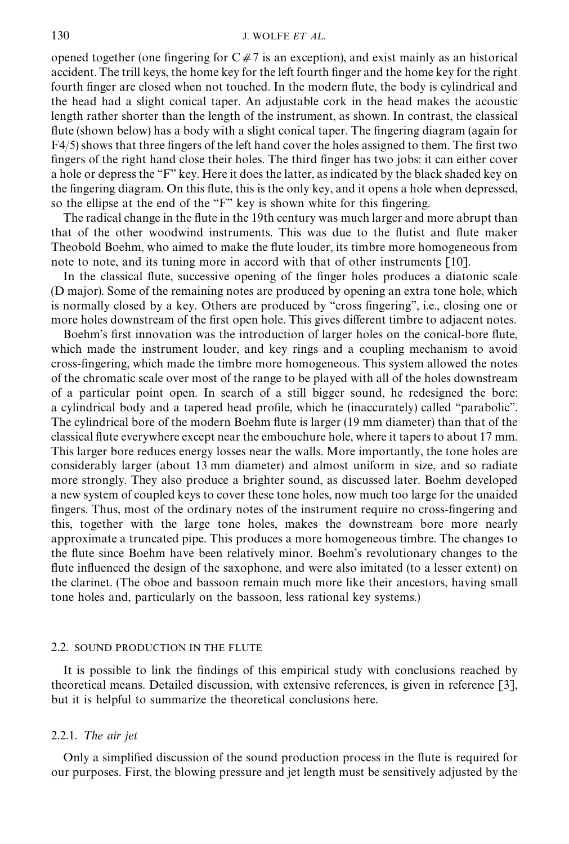## 130 **J. WOLFE** *ET AL***.**

opened together (one fingering for  $C \neq 7$  is an exception), and exist mainly as an historical accident. The trill keys, the home key for the left fourth finger and the home key for the right fourth finger are closed when not touched. In the modern flute, the body is cylindrical and the head had a slight conical taper. An adjustable cork in the head makes the acoustic length rather shorter than the length of the instrument, as shown. In contrast, the classical flute (shown below) has a body with a slight conical taper. The fingering diagram (again for  $F4/5$ ) shows that three fingers of the left hand cover the holes assigned to them. The first two fingers of the right hand close their holes. The third finger has two jobs: it can either cover a hole or depress the "F" key. Here it does the latter, as indicated by the black shaded key on the fingering diagram. On this flute, this is the only key, and it opens a hole when depressed, so the ellipse at the end of the "F" key is shown white for this fingering.

The radical change in the flute in the 19th century was much larger and more abrupt than that of the other woodwind instruments. This was due to the #utist and #ute maker Theobold Boehm, who aimed to make the #ute louder, its timbre more homogeneous from note to note, and its tuning more in accord with that of other instruments [\[10\]](#page-17-0).

In the classical flute, successive opening of the finger holes produces a diatonic scale (D major). Some of the remaining notes are produced by opening an extra tone hole, which is normally closed by a key. Others are produced by "cross fingering", i.e., closing one or more holes downstream of the first open hole. This gives different timbre to adjacent notes.

Boehm's first innovation was the introduction of larger holes on the conical-bore flute, which made the instrument louder, and key rings and a coupling mechanism to avoid cross-fingering, which made the timbre more homogeneous. This system allowed the notes of the chromatic scale over most of the range to be played with all of the holes downstream of a particular point open. In search of a still bigger sound, he redesigned the bore: a cylindrical body and a tapered head profile, which he (inaccurately) called "parabolic". The cylindrical bore of the modern Boehm flute is larger (19 mm diameter) than that of the classical flute everywhere except near the embouchure hole, where it tapers to about 17 mm. This larger bore reduces energy losses near the walls. More importantly, the tone holes are considerably larger (about 13 mm diameter) and almost uniform in size, and so radiate more strongly. They also produce a brighter sound, as discussed later. Boehm developed a new system of coupled keys to cover these tone holes, now much too large for the unaided fingers. Thus, most of the ordinary notes of the instrument require no cross-fingering and this, together with the large tone holes, makes the downstream bore more nearly approximate a truncated pipe. This produces a more homogeneous timbre. The changes to the #ute since Boehm have been relatively minor. Boehm's revolutionary changes to the flute influenced the design of the saxophone, and were also imitated (to a lesser extent) on the clarinet. (The oboe and bassoon remain much more like their ancestors, having small tone holes and, particularly on the bassoon, less rational key systems.)

## 2.2. SOUND PRODUCTION IN THE FLUTE

It is possible to link the findings of this empirical study with conclusions reached by theoretical means. Detailed discussion, with extensive references, is given in reference [\[3\]](#page-17-0), but it is helpful to summarize the theoretical conclusions here.

## 2.2.1. *The air jet*

Only a simplified discussion of the sound production process in the flute is required for our purposes. First, the blowing pressure and jet length must be sensitively adjusted by the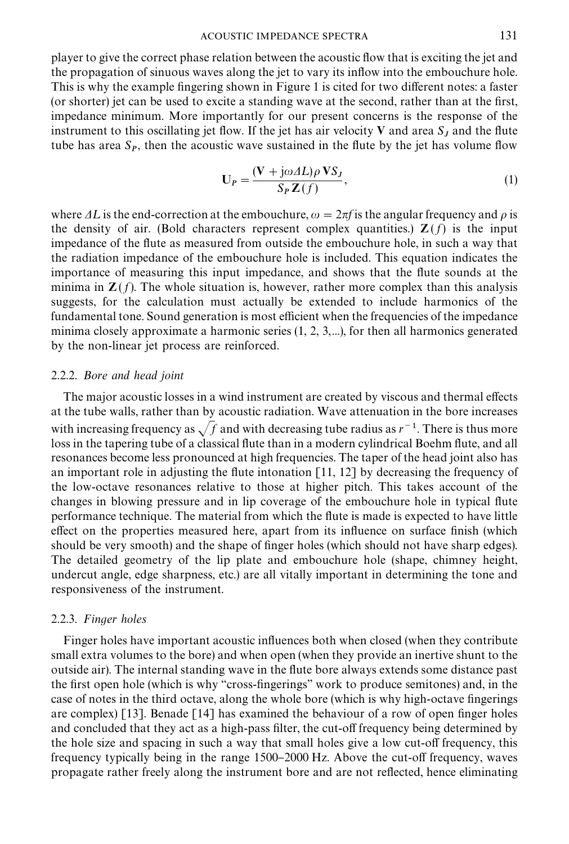#### ACOUSTIC IMPEDANCE SPECTRA 131

<span id="page-4-0"></span>player to give the correct phase relation between the acoustic flow that is exciting the jet and the propagation of sinuous waves along the jet to vary its inflow into the embouchure hole. This is why the example fingering shown in [Figure 1](#page-2-0) is cited for two different notes: a faster (or shorter) jet can be used to excite a standing wave at the second, rather than at the first,

impedance minimum. More importantly for our present concerns is the response of the instrument to this oscillating jet flow. If the jet has air velocity  $V$  and area  $S_J$  and the flute tube has area  $S_P$ , then the acoustic wave sustained in the flute by the jet has volume flow

$$
\mathbf{U}_P = \frac{(\mathbf{V} + j\omega \Delta L)\rho \mathbf{V} S_J}{S_P \mathbf{Z}(f)},\tag{1}
$$

where  $\Delta L$  is the end-correction at the embouchure,  $\omega = 2\pi f$  is the angular frequency and  $\rho$  is the density of air. (Bold characters represent complex quantities.)  $\mathbf{Z}(f)$  is the input impedance of the flute as measured from outside the embouchure hole, in such a way that the radiation impedance of the embouchure hole is included. This equation indicates the importance of measuring this input impedance, and shows that the flute sounds at the minima in  $\mathbf{Z}(f)$ . The whole situation is, however, rather more complex than this analysis suggests, for the calculation must actually be extended to include harmonics of the fundamental tone. Sound generation is most efficient when the frequencies of the impedance minima closely approximate a harmonic series  $(1, 2, 3, \ldots)$ , for then all harmonics generated by the non-linear jet process are reinforced.

# 2.2.2. *Bore and head joint*

The major acoustic losses in a wind instrument are created by viscous and thermal effects at the tube walls, rather than by acoustic radiation. Wave attenuation in the bore increases with increasing frequency as  $\sqrt{f}$  and with decreasing tube radius as  $r^{-1}$ . There is thus more loss in the tapering tube of a classical flute than in a modern cylindrical Boehm flute, and all resonances become less pronounced at high frequencies. The taper of the head joint also has an important role in adjusting the flute intonation  $\lceil 11, 12 \rceil$  by decreasing the frequency of the low-octave resonances relative to those at higher pitch. This takes account of the changes in blowing pressure and in lip coverage of the embouchure hole in typical flute performance technique. The material from which the #ute is made is expected to have little effect on the properties measured here, apart from its influence on surface finish (which should be very smooth) and the shape of finger holes (which should not have sharp edges). The detailed geometry of the lip plate and embouchure hole (shape, chimney height, undercut angle, edge sharpness, etc.) are all vitally important in determining the tone and responsiveness of the instrument.

# 2.2.3. *Finger holes*

Finger holes have important acoustic influences both when closed (when they contribute small extra volumes to the bore) and when open (when they provide an inertive shunt to the outside air). The internal standing wave in the #ute bore always extends some distance past the first open hole (which is why "cross-fingerings" work to produce semitones) and, in the case of notes in the third octave, along the whole bore (which is why high-octave fingerings are complex) [\[13\]](#page-17-0). Benade [\[14\]](#page-17-0) has examined the behaviour of a row of open finger holes and concluded that they act as a high-pass filter, the cut-off frequency being determined by the hole size and spacing in such a way that small holes give a low cut-off frequency, this frequency typically being in the range 1500–2000 Hz. Above the cut-off frequency, waves propagate rather freely along the instrument bore and are not reflected, hence eliminating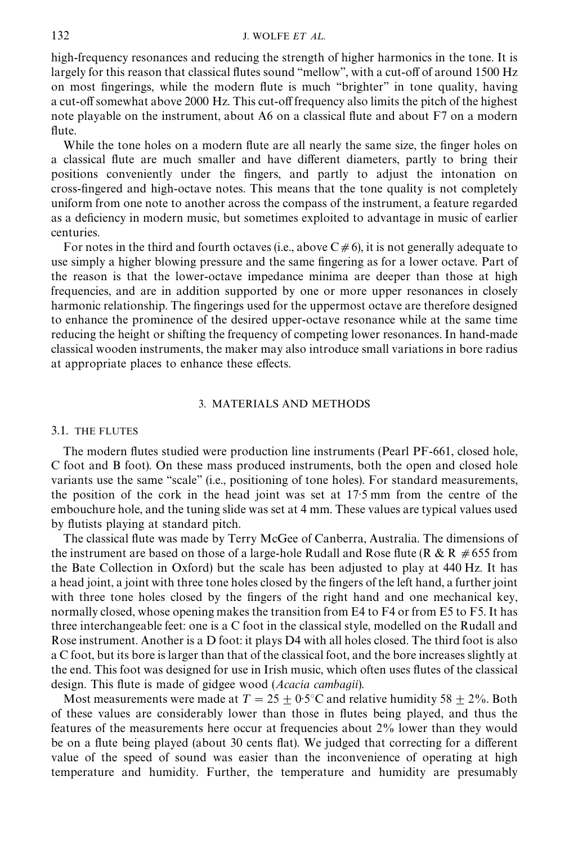high-frequency resonances and reducing the strength of higher harmonics in the tone. It is largely for this reason that classical flutes sound "mellow", with a cut-off of around 1500 Hz on most fingerings, while the modern flute is much "brighter" in tone quality, having a cut-off somewhat above 2000 Hz. This cut-off frequency also limits the pitch of the highest note playable on the instrument, about A6 on a classical flute and about  $F7$  on a modern flute.

While the tone holes on a modern flute are all nearly the same size, the finger holes on a classical flute are much smaller and have different diameters, partly to bring their positions conveniently under the "ngers, and partly to adjust the intonation on cross-fingered and high-octave notes. This means that the tone quality is not completely uniform from one note to another across the compass of the instrument, a feature regarded as a deficiency in modern music, but sometimes exploited to advantage in music of earlier centuries.

For notes in the third and fourth octaves (i.e., above  $C \neq 6$ ), it is not generally adequate to use simply a higher blowing pressure and the same fingering as for a lower octave. Part of the reason is that the lower-octave impedance minima are deeper than those at high frequencies, and are in addition supported by one or more upper resonances in closely harmonic relationship. The fingerings used for the uppermost octave are therefore designed to enhance the prominence of the desired upper-octave resonance while at the same time reducing the height or shifting the frequency of competing lower resonances. In hand-made classical wooden instruments, the maker may also introduce small variations in bore radius at appropriate places to enhance these effects.

## 3. MATERIALS AND METHODS

#### 3.1. THE FLUTES

The modern flutes studied were production line instruments (Pearl PF-661, closed hole, C foot and B foot). On these mass produced instruments, both the open and closed hole variants use the same "scale" (i.e., positioning of tone holes). For standard measurements, the position of the cork in the head joint was set at 17.5 mm from the centre of the embouchure hole, and the tuning slide was set at 4 mm. These values are typical values used by flutists playing at standard pitch.

The classical flute was made by Terry McGee of Canberra, Australia. The dimensions of the instrument are based on those of a large-hole Rudall and Rose flute (R & R  $\neq 655$  from the Bate Collection in Oxford) but the scale has been adjusted to play at 440 Hz. It has a head joint, a joint with three tone holes closed by the fingers of the left hand, a further joint with three tone holes closed by the fingers of the right hand and one mechanical key, normally closed, whose opening makes the transition from E4 to F4 or from E5 to F5. It has three interchangeable feet: one is a C foot in the classical style, modelled on the Rudall and Rose instrument. Another is a D foot: it plays D4 with all holes closed. The third foot is also a C foot, but its bore is larger than that of the classical foot, and the bore increases slightly at the end. This foot was designed for use in Irish music, which often uses flutes of the classical design. This #ute is made of gidgee wood (*Acacia cambagii*).

Most measurements were made at  $T = 25 + 0.5^{\circ}\text{C}$  and relative humidity 58 + 2%. Both of these values are considerably lower than those in #utes being played, and thus the features of the measurements here occur at frequencies about 2% lower than they would be on a flute being played (about 30 cents flat). We judged that correcting for a different value of the speed of sound was easier than the inconvenience of operating at high temperature and humidity. Further, the temperature and humidity are presumably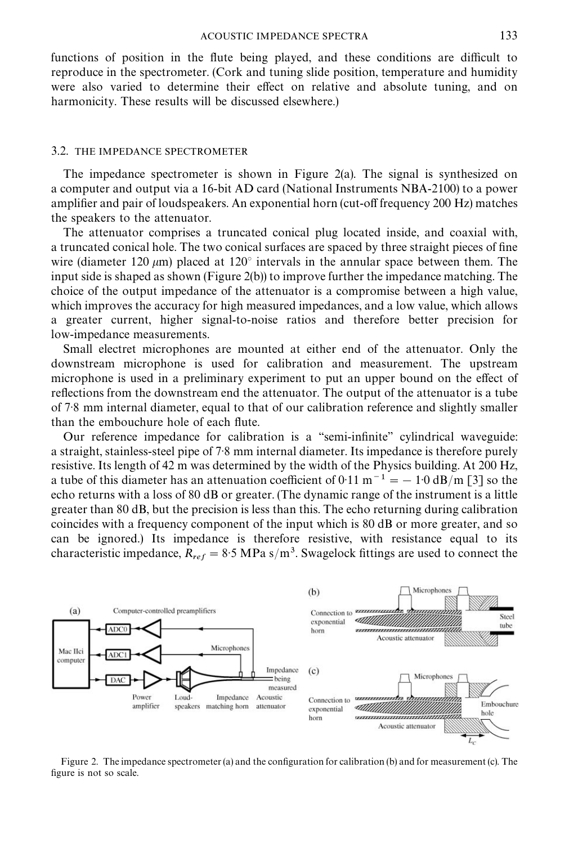<span id="page-6-0"></span>functions of position in the flute being played, and these conditions are difficult to reproduce in the spectrometer. (Cork and tuning slide position, temperature and humidity were also varied to determine their effect on relative and absolute tuning, and on harmonicity. These results will be discussed elsewhere.)

## 3.2. THE IMPEDANCE SPECTROMETER

The impedance spectrometer is shown in Figure 2(a). The signal is synthesized on a computer and output via a 16-bit AD card (National Instruments NBA-2100) to a power amplifier and pair of loudspeakers. An exponential horn (cut-off frequency 200 Hz) matches the speakers to the attenuator.

The attenuator comprises a truncated conical plug located inside, and coaxial with, a truncated conical hole. The two conical surfaces are spaced by three straight pieces of fine wire (diameter 120  $\mu$ m) placed at 120 $\degree$  intervals in the annular space between them. The input side is shaped as shown (Figure 2(b)) to improve further the impedance matching. The choice of the output impedance of the attenuator is a compromise between a high value, which improves the accuracy for high measured impedances, and a low value, which allows a greater current, higher signal-to-noise ratios and therefore better precision for low-impedance measurements.

Small electret microphones are mounted at either end of the attenuator. Only the downstream microphone is used for calibration and measurement. The upstream microphone is used in a preliminary experiment to put an upper bound on the effect of reflections from the downstream end the attenuator. The output of the attenuator is a tube of 7)8 mm internal diameter, equal to that of our calibration reference and slightly smaller than the embouchure hole of each flute.

Our reference impedance for calibration is a "semi-infinite" cylindrical waveguide: a straight, stainless-steel pipe of 7.8 mm internal diameter. Its impedance is therefore purely resistive. Its length of 42 m was determined by the width of the Physics building. At 200 Hz, a tube of this diameter has an attenuation coefficient of 0.11 m<sup>-1</sup> = -1.0 dB/m [\[3\]](#page-17-0) so the echo returns with a loss of 80 dB or greater. (The dynamic range of the instrument is a little greater than 80 dB, but the precision is less than this. The echo returning during calibration coincides with a frequency component of the input which is 80 dB or more greater, and so can be ignored.) Its impedance is therefore resistive, with resistance equal to its characteristic impedance,  $R_{ref} = 8.5 \text{ MPa s/m}^3$ . Swagelock fittings are used to connect the



Figure 2. The impedance spectrometer (a) and the configuration for calibration (b) and for measurement (c). The figure is not so scale.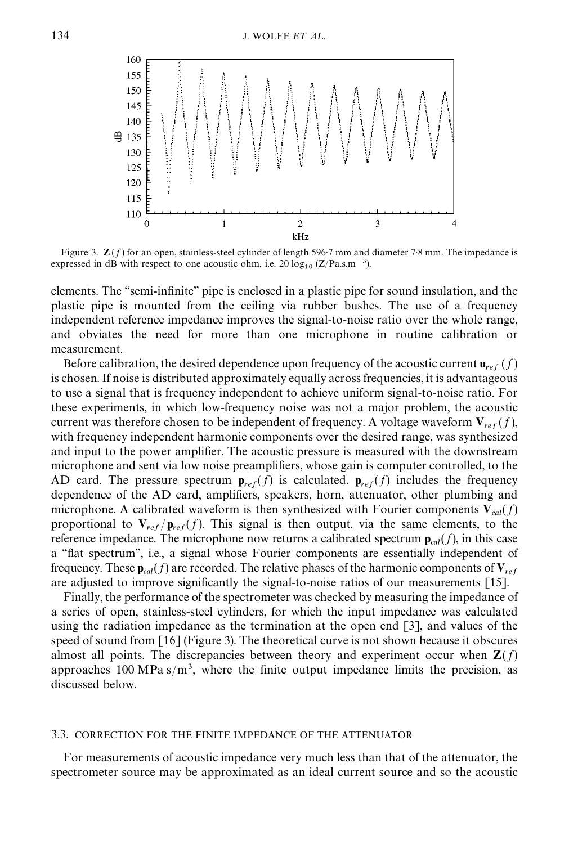<span id="page-7-0"></span>

Figure 3.  $\mathbb{Z}(f)$  for an open, stainless-steel cylinder of length 596.7 mm and diameter 7.8 mm. The impedance is expressed in dB with respect to one acoustic ohm, i.e.  $20 \log_{10} (Z/Pa.s.m^{-3})$ .

elements. The "semi-infinite" pipe is enclosed in a plastic pipe for sound insulation, and the plastic pipe is mounted from the ceiling via rubber bushes. The use of a frequency independent reference impedance improves the signal-to-noise ratio over the whole range, and obviates the need for more than one microphone in routine calibration or measurement.

Before calibration, the desired dependence upon frequency of the acoustic current  $\mathbf{u}_{ref}(f)$ is chosen. If noise is distributed approximately equally across frequencies, it is advantageous to use a signal that is frequency independent to achieve uniform signal-to-noise ratio. For these experiments, in which low-frequency noise was not a major problem, the acoustic current was therefore chosen to be independent of frequency. A voltage waveform  $V_{ref}(f)$ , with frequency independent harmonic components over the desired range, was synthesized and input to the power amplifier. The acoustic pressure is measured with the downstream microphone and sent via low noise preamplifiers, whose gain is computer controlled, to the AD card. The pressure spectrum  $\mathbf{p}_{ref}(f)$  is calculated.  $\mathbf{p}_{ref}(f)$  includes the frequency dependence of the AD card, amplifiers, speakers, horn, attenuator, other plumbing and microphone. A calibrated waveform is then synthesized with Fourier components  $V_{cal}(f)$ proportional to  $V_{ref}/p_{ref}(f)$ . This signal is then output, via the same elements, to the reference impedance. The microphone now returns a calibrated spectrum  $\mathbf{p}_{cal}(f)$ , in this case a "flat spectrum", i.e., a signal whose Fourier components are essentially independent of frequency. These  $\mathbf{p}_{cal}(f)$  are recorded. The relative phases of the harmonic components of  $\mathbf{V}_{ref}$ are adjusted to improve significantly the signal-to-noise ratios of our measurements  $[15]$ .

Finally, the performance of the spectrometer was checked by measuring the impedance of a series of open, stainless-steel cylinders, for which the input impedance was calculated using the radiation impedance as the termination at the open end [\[3\]](#page-17-0), and values of the speed of sound from [\[16\]](#page-17-0) (Figure 3). The theoretical curve is not shown because it obscures almost all points. The discrepancies between theory and experiment occur when  $\mathbf{Z}(f)$ approaches 100 MPa  $s/m<sup>3</sup>$ , where the finite output impedance limits the precision, as discussed below.

#### 3.3. CORRECTION FOR THE FINITE IMPEDANCE OF THE ATTENUATOR

For measurements of acoustic impedance very much less than that of the attenuator, the spectrometer source may be approximated as an ideal current source and so the acoustic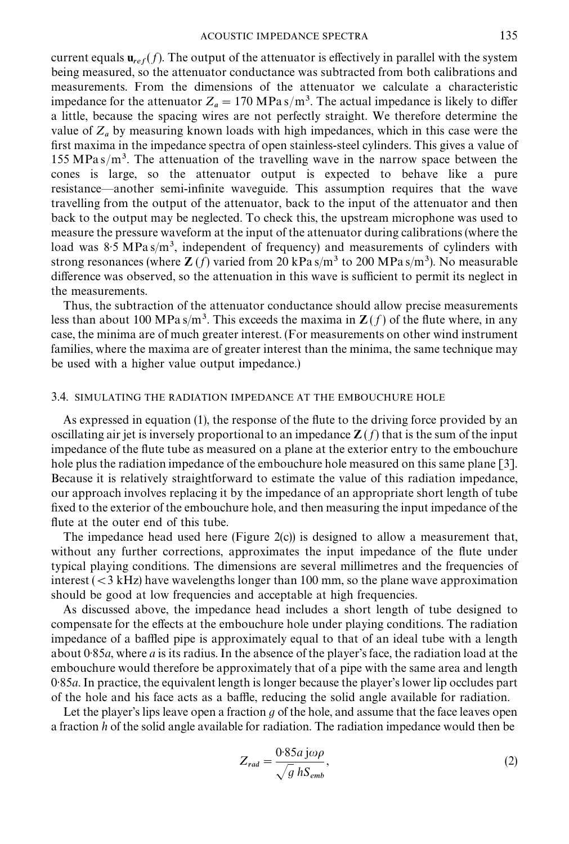current equals  $\mathbf{u}_{ref}(f)$ . The output of the attenuator is effectively in parallel with the system being measured, so the attenuator conductance was subtracted from both calibrations and measurements. From the dimensions of the attenuator we calculate a characteristic impedance for the attenuator  $Z_a = 170 \text{ MPa s/m}^3$ . The actual impedance is likely to differ a little, because the spacing wires are not perfectly straight. We therefore determine the value of  $Z_a$  by measuring known loads with high impedances, which in this case were the first maxima in the impedance spectra of open stainless-steel cylinders. This gives a value of 155 MPas/ $m<sup>3</sup>$ . The attenuation of the travelling wave in the narrow space between the cones is large, so the attenuator output is expected to behave like a pure resistance—another semi-infinite waveguide. This assumption requires that the wave travelling from the output of the attenuator, back to the input of the attenuator and then back to the output may be neglected. To check this, the upstream microphone was used to measure the pressure waveform at the input of the attenuator during calibrations (where the load was 8.5 MPas/m<sup>3</sup>, independent of frequency) and measurements of cylinders with strong resonances (where **Z** (*f*) varied from 20 kPa s/m<sup>3</sup> to 200 MPa s/m<sup>3</sup>). No measurable difference was observed, so the attenuation in this wave is sufficient to permit its neglect in the measurements.

Thus, the subtraction of the attenuator conductance should allow precise measurements less than about 100 MPa s/m<sup>3</sup>. This exceeds the maxima in  $\mathbb{Z}(f)$  of the flute where, in any case, the minima are of much greater interest. (For measurements on other wind instrument families, where the maxima are of greater interest than the minima, the same technique may be used with a higher value output impedance.)

## 3.4. SIMULATING THE RADIATION IMPEDANCE AT THE EMBOUCHURE HOLE

As expressed in [equation \(1\),](#page-4-0) the response of the flute to the driving force provided by an oscillating air jet is inversely proportional to an impedance  $\mathbb{Z}(f)$  that is the sum of the input impedance of the flute tube as measured on a plane at the exterior entry to the embouchure hole plus the radiation impedance of the embouchure hole measured on this same plane [\[3\]](#page-17-0). Because it is relatively straightforward to estimate the value of this radiation impedance, our approach involves replacing it by the impedance of an appropriate short length of tube fixed to the exterior of the embouchure hole, and then measuring the input impedance of the flute at the outer end of this tube.

The impedance head used here [\(Figure 2\(c\)\)](#page-6-0) is designed to allow a measurement that, without any further corrections, approximates the input impedance of the flute under typical playing conditions. The dimensions are several millimetres and the frequencies of interest  $(< 3$  kHz) have wavelengths longer than 100 mm, so the plane wave approximation should be good at low frequencies and acceptable at high frequencies.

As discussed above, the impedance head includes a short length of tube designed to compensate for the effects at the embouchure hole under playing conditions. The radiation impedance of a baffled pipe is approximately equal to that of an ideal tube with a length about 0)85*a*, where *a* is its radius. In the absence of the player's face, the radiation load at the embouchure would therefore be approximately that of a pipe with the same area and length 0)85*a*. In practice, the equivalent length is longer because the player's lower lip occludes part of the hole and his face acts as a baffle, reducing the solid angle available for radiation.

Let the player's lips leave open a fraction *g* of the hole, and assume that the face leaves open a fraction *h* of the solid angle available for radiation. The radiation impedance would then be

$$
Z_{rad} = \frac{0.85a \, j\omega\rho}{\sqrt{g} \, hS_{emb}},\tag{2}
$$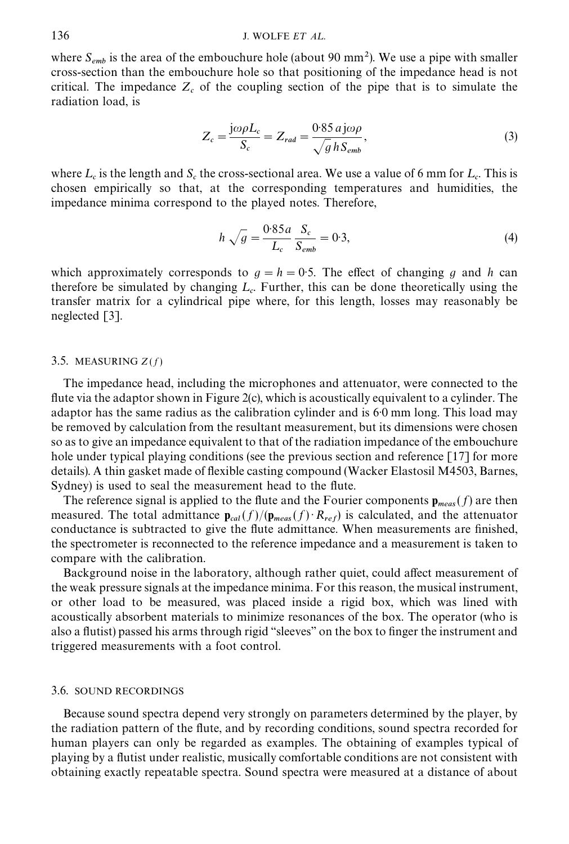where  $S_{emb}$  is the area of the embouchure hole (about 90 mm<sup>2</sup>). We use a pipe with smaller cross-section than the embouchure hole so that positioning of the impedance head is not critical. The impedance  $Z_c$  of the coupling section of the pipe that is to simulate the radiation load, is

$$
Z_c = \frac{j\omega\rho L_c}{S_c} = Z_{rad} = \frac{0.85 \, a \, j\omega\rho}{\sqrt{g} \, h \, S_{emb}},\tag{3}
$$

where  $L_c$  is the length and  $S_c$  the cross-sectional area. We use a value of 6 mm for  $L_c$ . This is chosen empirically so that, at the corresponding temperatures and humidities, the impedance minima correspond to the played notes. Therefore,

$$
h\sqrt{g} = \frac{0.85a}{L_c} \frac{S_c}{S_{emb}} = 0.3,
$$
\n(4)

which approximately corresponds to  $q = h = 0.5$ . The effect of changing q and h can therefore be simulated by changing  $L_c$ . Further, this can be done theoretically using the transfer matrix for a cylindrical pipe where, for this length, losses may reasonably be neglected [\[3\].](#page-17-0)

## 3.5. MEASURING  $Z(f)$

The impedance head, including the microphones and attenuator, were connected to the flute via the adaptor shown in [Figure 2\(c\)](#page-6-0), which is acoustically equivalent to a cylinder. The adaptor has the same radius as the calibration cylinder and is  $60 \text{ mm}$  long. This load may be removed by calculation from the resultant measurement, but its dimensions were chosen so as to give an impedance equivalent to that of the radiation impedance of the embouchure hole under typical playing conditions (see the previous section and reference [\[17\]](#page-17-0) for more details). A thin gasket made of flexible casting compound (Wacker Elastosil M4503, Barnes, Sydney) is used to seal the measurement head to the flute.

The reference signal is applied to the flute and the Fourier components  $\mathbf{p}_{meas}(f)$  are then measured. The total admittance  $\mathbf{p}_{cal}(f)/(\mathbf{p}_{meas}(f) \cdot R_{ref})$  is calculated, and the attenuator conductance is subtracted to give the flute admittance. When measurements are finished, the spectrometer is reconnected to the reference impedance and a measurement is taken to compare with the calibration.

Background noise in the laboratory, although rather quiet, could affect measurement of the weak pressure signals at the impedance minima. For this reason, the musical instrument, or other load to be measured, was placed inside a rigid box, which was lined with acoustically absorbent materials to minimize resonances of the box. The operator (who is also a flutist) passed his arms through rigid "sleeves" on the box to finger the instrument and triggered measurements with a foot control.

## 3.6. SOUND RECORDINGS

Because sound spectra depend very strongly on parameters determined by the player, by the radiation pattern of the flute, and by recording conditions, sound spectra recorded for human players can only be regarded as examples. The obtaining of examples typical of playing by a flutist under realistic, musically comfortable conditions are not consistent with obtaining exactly repeatable spectra. Sound spectra were measured at a distance of about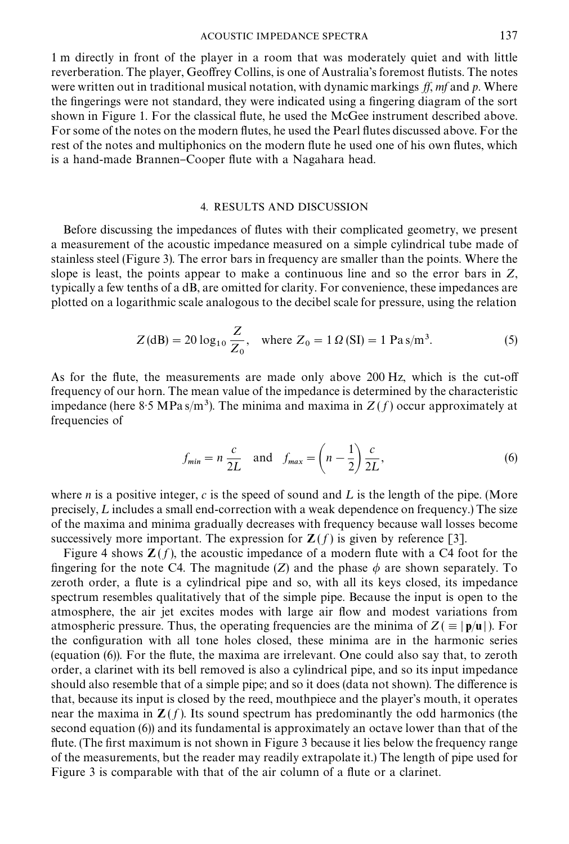#### ACOUSTIC IMPEDANCE SPECTRA 137

1 m directly in front of the player in a room that was moderately quiet and with little reverberation. The player, Geoffrey Collins, is one of Australia's foremost flutists. The notes were written out in traditional musical notation, with dynamic markings  $\hat{f}$ ,  $m\hat{f}$  and  $p$ . Where the fingerings were not standard, they were indicated using a fingering diagram of the sort shown in [Figure 1.](#page-2-0) For the classical flute, he used the McGee instrument described above. For some of the notes on the modern flutes, he used the Pearl flutes discussed above. For the rest of the notes and multiphonics on the modern flute he used one of his own flutes, which is a hand-made Brannen–Cooper flute with a Nagahara head.

# 4. RESULTS AND DISCUSSION

Before discussing the impedances of flutes with their complicated geometry, we present a measurement of the acoustic impedance measured on a simple cylindrical tube made of stainless steel [\(Figure 3\)](#page-7-0). The error bars in frequency are smaller than the points. Where the slope is least, the points appear to make a continuous line and so the error bars in *Z*, typically a few tenths of a dB, are omitted for clarity. For convenience, these impedances are plotted on a logarithmic scale analogous to the decibel scale for pressure, using the relation

$$
Z(dB) = 20 \log_{10} \frac{Z}{Z_0}
$$
, where  $Z_0 = 1 \Omega(SI) = 1 \text{ Pa s/m}^3$ . (5)

As for the flute, the measurements are made only above  $200$  Hz, which is the cut-off frequency of our horn. The mean value of the impedance is determined by the characteristic impedance (here 8.5 MPas/m<sup>3</sup>). The minima and maxima in  $Z(f)$  occur approximately at frequencies of

$$
f_{\min} = n \frac{c}{2L} \quad \text{and} \quad f_{\max} = \left(n - \frac{1}{2}\right) \frac{c}{2L},\tag{6}
$$

where *n* is a positive integer, *c* is the speed of sound and L is the length of the pipe. (More precisely,  $L$  includes a small end-correction with a weak dependence on frequency.) The size of the maxima and minima gradually decreases with frequency because wall losses become successively more important. The expression for  $\mathbb{Z}(f)$  is given by reference [\[3\]](#page-17-0).

Figure 4 shows  $\mathbf{Z}(f)$ , the acoustic impedance of a modern flute with a C4 foot for the fingering for the note C4. The magnitude (*Z*) and the phase  $\phi$  are shown separately. To zeroth order, a flute is a cylindrical pipe and so, with all its keys closed, its impedance spectrum resembles qualitatively that of the simple pipe. Because the input is open to the atmosphere, the air jet excites modes with large air #ow and modest variations from atmospheric pressure. Thus, the operating frequencies are the minima of  $Z = |p/u|$ ). For the con"guration with all tone holes closed, these minima are in the harmonic series (equation  $(6)$ ). For the flute, the maxima are irrelevant. One could also say that, to zeroth order, a clarinet with its bell removed is also a cylindrical pipe, and so its input impedance should also resemble that of a simple pipe; and so it does (data not shown). The difference is that, because its input is closed by the reed, mouthpiece and the player's mouth, it operates near the maxima in  $\mathbf{Z}(f)$ . Its sound spectrum has predominantly the odd harmonics (the second equation (6)) and its fundamental is approximately an octave lower than that of the flute. (The first maximum is not shown in [Figure 3](#page-7-0) because it lies below the frequency range of the measurements, but the reader may readily extrapolate it.) The length of pipe used for [Figure 3](#page-7-0) is comparable with that of the air column of a flute or a clarinet.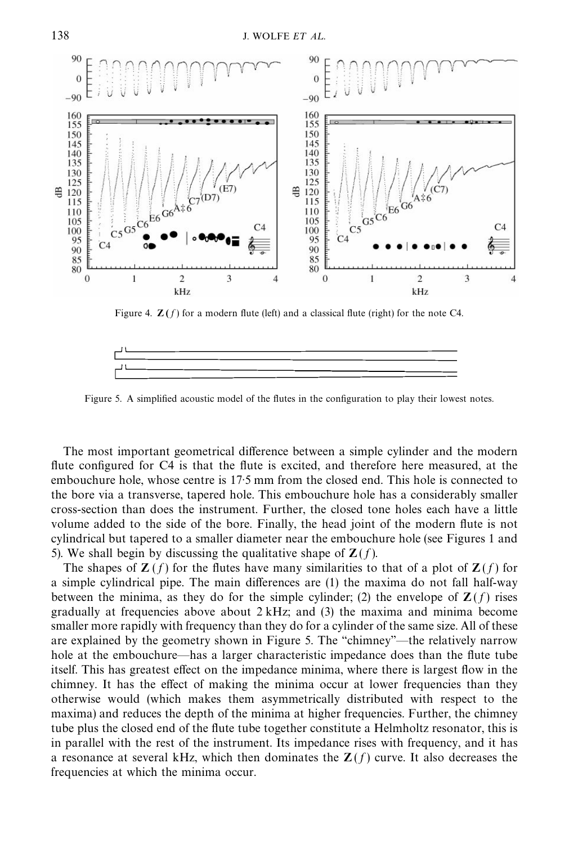<span id="page-11-0"></span>

Figure 4.  $\mathbb{Z}(f)$  for a modern flute (left) and a classical flute (right) for the note C4.



Figure 5. A simplified acoustic model of the flutes in the configuration to play their lowest notes.

The most important geometrical difference between a simple cylinder and the modern flute configured for C4 is that the flute is excited, and therefore here measured, at the embouchure hole, whose centre is 17.5 mm from the closed end. This hole is connected to the bore via a transverse, tapered hole. This embouchure hole has a considerably smaller cross-section than does the instrument. Further, the closed tone holes each have a little volume added to the side of the bore. Finally, the head joint of the modern #ute is not cylindrical but tapered to a smaller diameter near the embouchure hole (see [Figures 1](#page-2-0) and 5). We shall begin by discussing the qualitative shape of  $\mathbf{Z}(f)$ .

The shapes of  $\mathbf{Z}(f)$  for the flutes have many similarities to that of a plot of  $\mathbf{Z}(f)$  for a simple cylindrical pipe. The main differences are  $(1)$  the maxima do not fall half-way between the minima, as they do for the simple cylinder; (2) the envelope of  $\mathbf{Z}(f)$  rises gradually at frequencies above about  $2 \text{ kHz}$ ; and (3) the maxima and minima become smaller more rapidly with frequency than they do for a cylinder of the same size. All of these are explained by the geometry shown in Figure 5. The "chimney"—the relatively narrow hole at the embouchure—has a larger characteristic impedance does than the flute tube itself. This has greatest effect on the impedance minima, where there is largest flow in the chimney. It has the effect of making the minima occur at lower frequencies than they otherwise would (which makes them asymmetrically distributed with respect to the maxima) and reduces the depth of the minima at higher frequencies. Further, the chimney tube plus the closed end of the flute tube together constitute a Helmholtz resonator, this is in parallel with the rest of the instrument. Its impedance rises with frequency, and it has a resonance at several kHz, which then dominates the  $\mathbf{Z}(f)$  curve. It also decreases the frequencies at which the minima occur.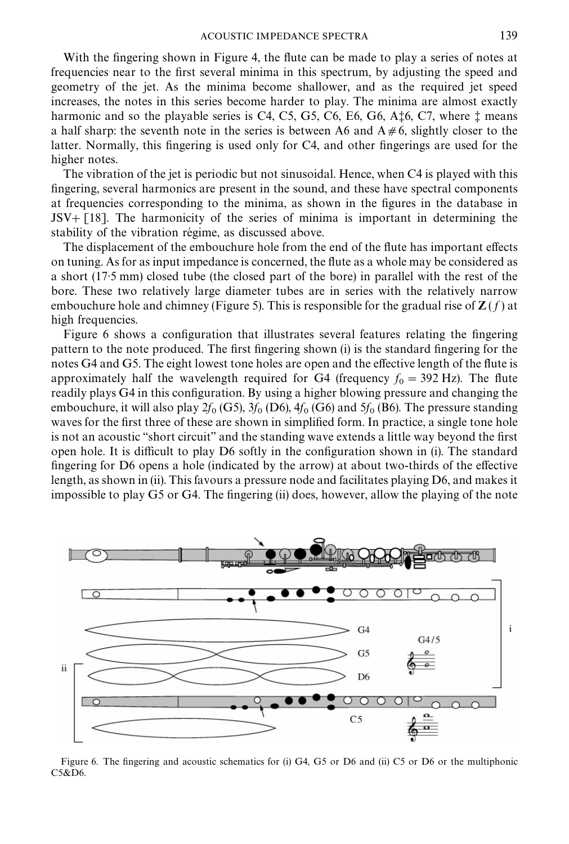<span id="page-12-0"></span>With the fingering shown in [Figure 4,](#page-11-0) the flute can be made to play a series of notes at frequencies near to the first several minima in this spectrum, by adjusting the speed and geometry of the jet. As the minima become shallower, and as the required jet speed increases, the notes in this series become harder to play. The minima are almost exactly harmonic and so the playable series is  $C4$ ,  $C5$ ,  $G5$ ,  $C6$ ,  $E6$ ,  $G6$ ,  $A<sub>z</sub>$  $6$ ,  $C7$ , where  $\ddagger$  means a half sharp: the seventh note in the series is between A6 and  $A \neq 6$ , slightly closer to the latter. Normally, this fingering is used only for C4, and other fingerings are used for the higher notes.

The vibration of the jet is periodic but not sinusoidal. Hence, when C4 is played with this fingering, several harmonics are present in the sound, and these have spectral components at frequencies corresponding to the minima, as shown in the figures in the database in  $JSV + [18]$  $JSV + [18]$ . The harmonicity of the series of minima is important in determining the stability of the vibration régime, as discussed above.

The displacement of the embouchure hole from the end of the flute has important effects on tuning. As for as input impedance is concerned, the #ute as a whole may be considered as a short (17.5 mm) closed tube (the closed part of the bore) in parallel with the rest of the bore. These two relatively large diameter tubes are in series with the relatively narrow embouchure hole and chimney [\(Figure 5\).](#page-11-0) This is responsible for the gradual rise of  $\mathbb{Z}(f)$  at high frequencies.

Figure 6 shows a configuration that illustrates several features relating the fingering pattern to the note produced. The first fingering shown (i) is the standard fingering for the notes  $G4$  and  $G5$ . The eight lowest tone holes are open and the effective length of the flute is approximately half the wavelength required for G4 (frequency  $f_0 = 392$  Hz). The flute readily plays G4 in this configuration. By using a higher blowing pressure and changing the embouchure, it will also play  $2f_0$  (G5),  $3f_0$  (D6),  $4f_0$  (G6) and  $5f_0$  (B6). The pressure standing waves for the first three of these are shown in simplified form. In practice, a single tone hole is not an acoustic "short circuit" and the standing wave extends a little way beyond the first open hole. It is difficult to play  $D6$  softly in the configuration shown in (i). The standard fingering for  $D6$  opens a hole (indicated by the arrow) at about two-thirds of the effective length, as shown in (ii). This favours a pressure node and facilitates playing D6, and makes it impossible to play G5 or G4. The fingering (ii) does, however, allow the playing of the note



Figure 6. The fingering and acoustic schematics for (i) G4, G5 or D6 and (ii) C5 or D6 or the multiphonic C5&D6.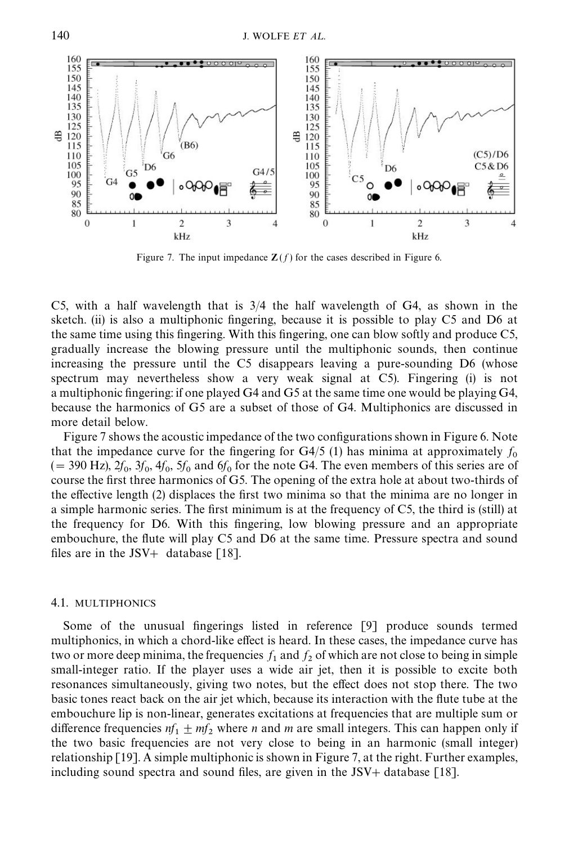

Figure 7. The input impedance  $\mathbf{Z}(f)$  for the cases described in [Figure 6.](#page-12-0)

C5, with a half wavelength that is 3/4 the half wavelength of G4, as shown in the sketch. (ii) is also a multiphonic fingering, because it is possible to play C5 and D6 at the same time using this fingering. With this fingering, one can blow softly and produce C5, gradually increase the blowing pressure until the multiphonic sounds, then continue increasing the pressure until the C5 disappears leaving a pure-sounding D6 (whose spectrum may nevertheless show a very weak signal at C5). Fingering (i) is not a multiphonic fingering: if one played G4 and G5 at the same time one would be playing G4, because the harmonics of G5 are a subset of those of G4. Multiphonics are discussed in more detail below.

Figure 7 shows the acoustic impedance of the two configurations shown in [Figure 6.](#page-12-0) Note that the impedance curve for the fingering for  $G4/5$  (1) has minima at approximately  $f_0$ that the impedance curve for the ingering for  $G4/3$  (1) has immina at approximately  $f_0$ <br>(= 390 Hz),  $2f_0$ ,  $3f_0$ ,  $4f_0$ ,  $5f_0$  and  $6f_0$  for the note G4. The even members of this series are of course the first three harmonics of G5. The opening of the extra hole at about two-thirds of the effective length (2) displaces the first two minima so that the minima are no longer in a simple harmonic series. The first minimum is at the frequency of C5, the third is (still) at the frequency for D6. With this fingering, low blowing pressure and an appropriate embouchure, the flute will play C5 and D6 at the same time. Pressure spectra and sound files are in the JSV+ database  $\lceil 18 \rceil$ .

## 4.1. MULTIPHONICS

Some of the unusual fingerings listed in reference [\[9\]](#page-17-0) produce sounds termed multiphonics, in which a chord-like effect is heard. In these cases, the impedance curve has two or more deep minima, the frequencies  $f_1$  and  $f_2$  of which are not close to being in simple small-integer ratio. If the player uses a wide air jet, then it is possible to excite both resonances simultaneously, giving two notes, but the effect does not stop there. The two basic tones react back on the air jet which, because its interaction with the #ute tube at the embouchure lip is non-linear, generates excitations at frequencies that are multiple sum or difference frequencies  $nf_1 \pm mf_2$  where *n* and *m* are small integers. This can happen only if the two basic frequencies are not very close to being in an harmonic (small integer) relationship [\[19\]](#page-17-0). A simple multiphonic is shown in Figure 7, at the right. Further examples, including sound spectra and sound files, are given in the JSV+ database  $[18]$ .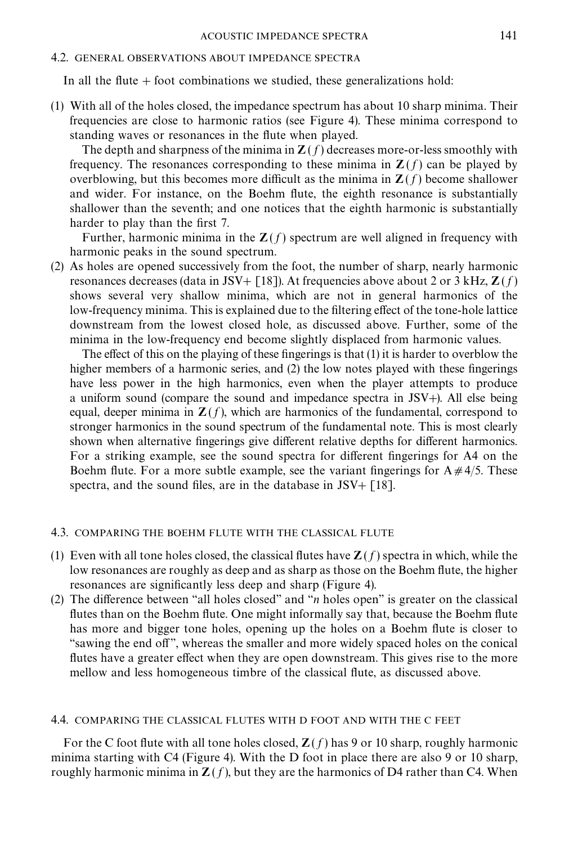## 4.2. GENERAL OBSERVATIONS ABOUT IMPEDANCE SPECTRA

In all the flute  $+$  foot combinations we studied, these generalizations hold:

(1) With all of the holes closed, the impedance spectrum has about 10 sharp minima. Their frequencies are close to harmonic ratios (see [Figure 4\)](#page-11-0). These minima correspond to standing waves or resonances in the flute when played.

The depth and sharpness of the minima in  $\mathbf{Z}(f)$  decreases more-or-less smoothly with frequency. The resonances corresponding to these minima in  $\mathbf{Z}(f)$  can be played by overblowing, but this becomes more difficult as the minima in  $\mathbf{Z}(f)$  become shallower and wider. For instance, on the Boehm flute, the eighth resonance is substantially shallower than the seventh; and one notices that the eighth harmonic is substantially harder to play than the first 7.

Further, harmonic minima in the  $Z(f)$  spectrum are well aligned in frequency with harmonic peaks in the sound spectrum.

(2) As holes are opened successively from the foot, the number of sharp, nearly harmonic resonances decreases (data in JSV+ [\[18\]](#page-17-0)). At frequencies above about 2 or 3 kHz,  $\mathbf{Z}(f)$ shows several very shallow minima, which are not in general harmonics of the low-frequency minima. This is explained due to the filtering effect of the tone-hole lattice downstream from the lowest closed hole, as discussed above. Further, some of the minima in the low-frequency end become slightly displaced from harmonic values.

The effect of this on the playing of these fingerings is that  $(1)$  it is harder to overblow the higher members of a harmonic series, and  $(2)$  the low notes played with these fingerings have less power in the high harmonics, even when the player attempts to produce a uniform sound (compare the sound and impedance spectra in JSV+). All else being equal, deeper minima in  $\mathbf{Z}(f)$ , which are harmonics of the fundamental, correspond to stronger harmonics in the sound spectrum of the fundamental note. This is most clearly shown when alternative fingerings give different relative depths for different harmonics. For a striking example, see the sound spectra for different fingerings for A4 on the Boehm flute. For a more subtle example, see the variant fingerings for  $A \neq 4/5$ . These spectra, and the sound files, are in the database in  $JSV+$  [\[18\]](#page-17-0).

# 4.3. COMPARING THE BOEHM FLUTE WITH THE CLASSICAL FLUTE

- (1) Even with all tone holes closed, the classical flutes have  $\mathbf{Z}(f)$  spectra in which, while the low resonances are roughly as deep and as sharp as those on the Boehm flute, the higher resonances are significantly less deep and sharp [\(Figure 4\)](#page-11-0).
- (2) The difference between "all holes closed" and "*n* holes open" is greater on the classical flutes than on the Boehm flute. One might informally say that, because the Boehm flute has more and bigger tone holes, opening up the holes on a Boehm flute is closer to "sawing the end off", whereas the smaller and more widely spaced holes on the conical flutes have a greater effect when they are open downstream. This gives rise to the more mellow and less homogeneous timbre of the classical flute, as discussed above.

## 4.4. COMPARING THE CLASSICAL FLUTES WITH D FOOT AND WITH THE C FEET

For the C foot flute with all tone holes closed,  $\mathbf{Z}(f)$  has 9 or 10 sharp, roughly harmonic minima starting with C4 [\(Figure 4\)](#page-11-0). With the D foot in place there are also 9 or 10 sharp, roughly harmonic minima in  $Z(f)$ , but they are the harmonics of D4 rather than C4. When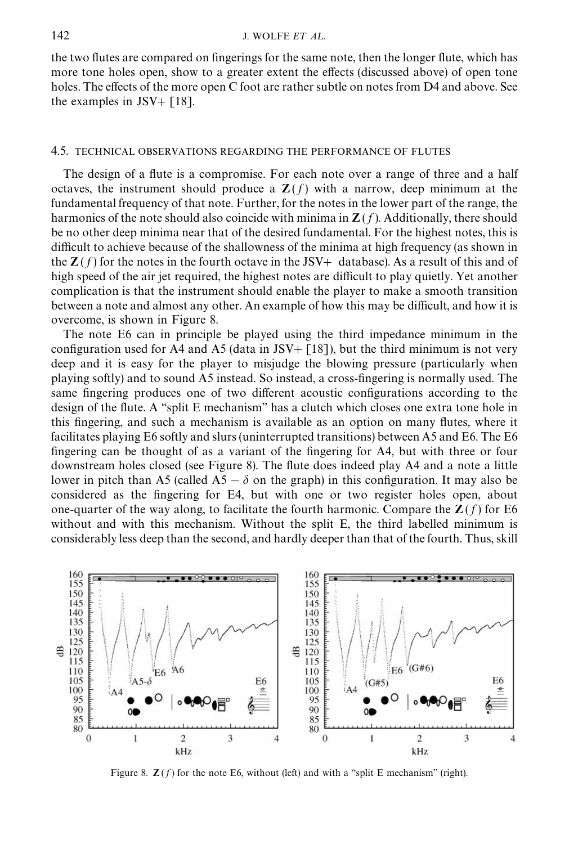<span id="page-15-0"></span>the two flutes are compared on fingerings for the same note, then the longer flute, which has more tone holes open, show to a greater extent the effects (discussed above) of open tone holes. The effects of the more open C foot are rather subtle on notes from D4 and above. See the examples in JSV $+$  [\[18\].](#page-17-0)

#### 4.5. TECHNICAL OBSERVATIONS REGARDING THE PERFORMANCE OF FLUTES

The design of a flute is a compromise. For each note over a range of three and a half octaves, the instrument should produce a  $\mathbf{Z}(f)$  with a narrow, deep minimum at the fundamental frequency of that note. Further, for the notes in the lower part of the range, the harmonics of the note should also coincide with minima in  $\mathbf{Z}(f)$ . Additionally, there should be no other deep minima near that of the desired fundamental. For the highest notes, this is difficult to achieve because of the shallowness of the minima at high frequency (as shown in the  $Z(f)$  for the notes in the fourth octave in the JSV+ database). As a result of this and of high speed of the air jet required, the highest notes are difficult to play quietly. Yet another complication is that the instrument should enable the player to make a smooth transition between a note and almost any other. An example of how this may be difficult, and how it is overcome, is shown in Figure 8.

The note E6 can in principle be played using the third impedance minimum in the configuration used for A4 and A5 (data in JSV+ [\[18\]](#page-17-0)), but the third minimum is not very deep and it is easy for the player to misjudge the blowing pressure (particularly when playing softly) and to sound A5 instead. So instead, a cross-fingering is normally used. The same fingering produces one of two different acoustic configurations according to the design of the flute. A "split E mechanism" has a clutch which closes one extra tone hole in this fingering, and such a mechanism is available as an option on many flutes, where it facilitates playing E6 softly and slurs (uninterrupted transitions) between A5 and E6. The E6 fingering can be thought of as a variant of the fingering for A4, but with three or four downstream holes closed (see Figure 8). The flute does indeed play A4 and a note a little lower in pitch than A5 (called A5 –  $\delta$  on the graph) in this configuration. It may also be considered as the fingering for E4, but with one or two register holes open, about one-quarter of the way along, to facilitate the fourth harmonic. Compare the  $\mathbb{Z}(f)$  for E6 without and with this mechanism. Without the split E, the third labelled minimum is considerably less deep than the second, and hardly deeper than that of the fourth. Thus, skill



Figure 8.  $\mathbf{Z}(f)$  for the note E6, without (left) and with a "split E mechanism" (right).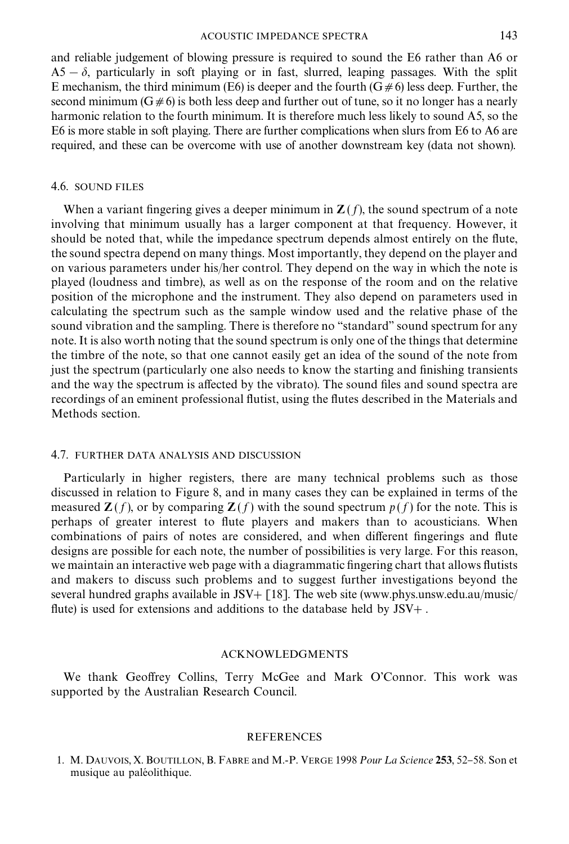#### ACOUSTIC IMPEDANCE SPECTRA 143

<span id="page-16-0"></span>and reliable judgement of blowing pressure is required to sound the E6 rather than A6 or  $A5 - \delta$ , particularly in soft playing or in fast, slurred, leaping passages. With the split E mechanism, the third minimum (E6) is deeper and the fourth ( $G \neq 6$ ) less deep. Further, the second minimum (G $\neq$ 6) is both less deep and further out of tune, so it no longer has a nearly harmonic relation to the fourth minimum. It is therefore much less likely to sound A5, so the E6 is more stable in soft playing. There are further complications when slurs from E6 to A6 are required, and these can be overcome with use of another downstream key (data not shown).

## 4.6. SOUND FILES

When a variant fingering gives a deeper minimum in  $\mathbf{Z}(f)$ , the sound spectrum of a note involving that minimum usually has a larger component at that frequency. However, it should be noted that, while the impedance spectrum depends almost entirely on the flute, the sound spectra depend on many things. Most importantly, they depend on the player and on various parameters under his/her control. They depend on the way in which the note is played (loudness and timbre), as well as on the response of the room and on the relative position of the microphone and the instrument. They also depend on parameters used in calculating the spectrum such as the sample window used and the relative phase of the sound vibration and the sampling. There is therefore no "standard" sound spectrum for any note. It is also worth noting that the sound spectrum is only one of the things that determine the timbre of the note, so that one cannot easily get an idea of the sound of the note from just the spectrum (particularly one also needs to know the starting and finishing transients and the way the spectrum is affected by the vibrato). The sound files and sound spectra are recordings of an eminent professional flutist, using the flutes described in the Materials and Methods section.

## 4.7. FURTHER DATA ANALYSIS AND DISCUSSION

Particularly in higher registers, there are many technical problems such as those discussed in relation to [Figure 8,](#page-15-0) and in many cases they can be explained in terms of the measured  $\mathbf{Z}(f)$ , or by comparing  $\mathbf{Z}(f)$  with the sound spectrum  $p(f)$  for the note. This is perhaps of greater interest to flute players and makers than to acousticians. When combinations of pairs of notes are considered, and when different fingerings and flute designs are possible for each note, the number of possibilities is very large. For this reason, we maintain an interactive web page with a diagrammatic fingering chart that allows flutists and makers to discuss such problems and to suggest further investigations beyond the several hundred graphs available in JSV +  $\lceil 18 \rceil$ . The web site (www.phys.unsw.edu.au/music/ flute) is used for extensions and additions to the database held by  $JSV+$ .

## ACKNOWLEDGMENTS

We thank Geoffrey Collins, Terry McGee and Mark O'Connor. This work was supported by the Australian Research Council.

## REFERENCES

1. M. DAUVOIS, X. BOUTILLON, B. FABRE and M.-P. VERGE 1998 *Pour La Science* 253, 52–58. Son et musique au paléolithique.